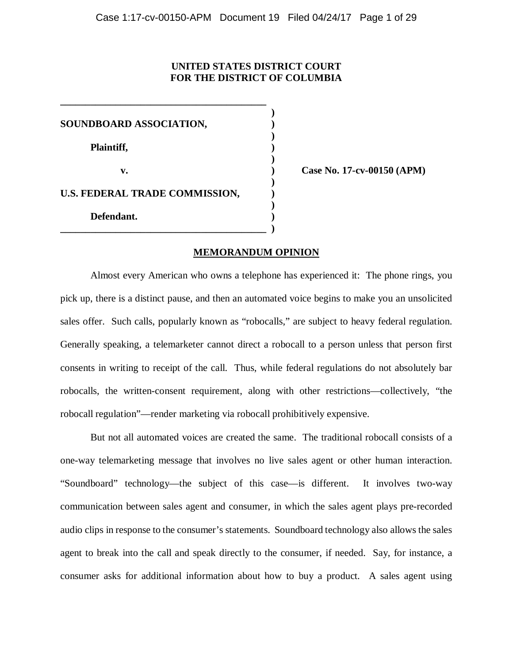# **UNITED STATES DISTRICT COURT FOR THE DISTRICT OF COLUMBIA**

 **) SOUNDBOARD ASSOCIATION, ) )**  Plaintiff,  $\qquad \qquad$  )  **) v.**  $\qquad \qquad$  **Case No. 17-cv-00150 (APM) ) U.S. FEDERAL TRADE COMMISSION,**  $\qquad$  **) ) Defendant. ) \_\_\_\_\_\_\_\_\_\_\_\_\_\_\_\_\_\_\_\_\_\_\_\_\_\_\_\_\_\_\_\_\_\_\_\_\_\_\_\_\_ )** 

**\_\_\_\_\_\_\_\_\_\_\_\_\_\_\_\_\_\_\_\_\_\_\_\_\_\_\_\_\_\_\_\_\_\_\_\_\_\_\_\_\_** 

#### **MEMORANDUM OPINION**

Almost every American who owns a telephone has experienced it: The phone rings, you pick up, there is a distinct pause, and then an automated voice begins to make you an unsolicited sales offer. Such calls, popularly known as "robocalls," are subject to heavy federal regulation. Generally speaking, a telemarketer cannot direct a robocall to a person unless that person first consents in writing to receipt of the call. Thus, while federal regulations do not absolutely bar robocalls, the written-consent requirement, along with other restrictions—collectively, "the robocall regulation"—render marketing via robocall prohibitively expensive.

But not all automated voices are created the same. The traditional robocall consists of a one-way telemarketing message that involves no live sales agent or other human interaction. "Soundboard" technology—the subject of this case—is different. It involves two-way communication between sales agent and consumer, in which the sales agent plays pre-recorded audio clips in response to the consumer's statements. Soundboard technology also allows the sales agent to break into the call and speak directly to the consumer, if needed. Say, for instance, a consumer asks for additional information about how to buy a product. A sales agent using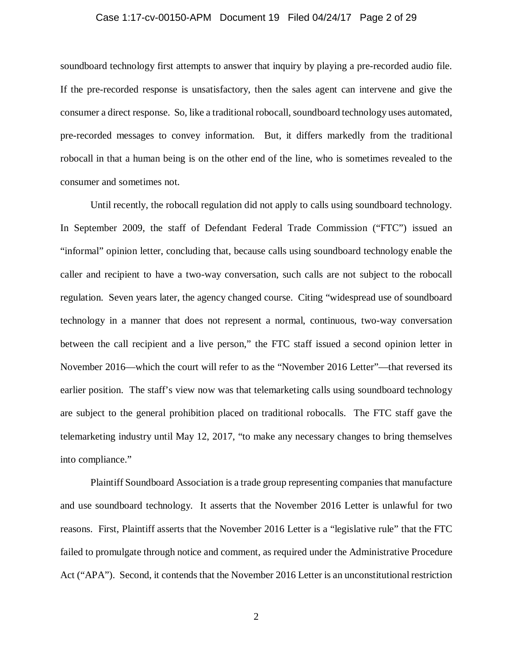#### Case 1:17-cv-00150-APM Document 19 Filed 04/24/17 Page 2 of 29

soundboard technology first attempts to answer that inquiry by playing a pre-recorded audio file. If the pre-recorded response is unsatisfactory, then the sales agent can intervene and give the consumer a direct response. So, like a traditional robocall, soundboard technology uses automated, pre-recorded messages to convey information. But, it differs markedly from the traditional robocall in that a human being is on the other end of the line, who is sometimes revealed to the consumer and sometimes not.

Until recently, the robocall regulation did not apply to calls using soundboard technology. In September 2009, the staff of Defendant Federal Trade Commission ("FTC") issued an "informal" opinion letter, concluding that, because calls using soundboard technology enable the caller and recipient to have a two-way conversation, such calls are not subject to the robocall regulation. Seven years later, the agency changed course. Citing "widespread use of soundboard technology in a manner that does not represent a normal, continuous, two-way conversation between the call recipient and a live person," the FTC staff issued a second opinion letter in November 2016—which the court will refer to as the "November 2016 Letter"—that reversed its earlier position. The staff's view now was that telemarketing calls using soundboard technology are subject to the general prohibition placed on traditional robocalls. The FTC staff gave the telemarketing industry until May 12, 2017, "to make any necessary changes to bring themselves into compliance."

Plaintiff Soundboard Association is a trade group representing companies that manufacture and use soundboard technology. It asserts that the November 2016 Letter is unlawful for two reasons. First, Plaintiff asserts that the November 2016 Letter is a "legislative rule" that the FTC failed to promulgate through notice and comment, as required under the Administrative Procedure Act ("APA"). Second, it contends that the November 2016 Letter is an unconstitutional restriction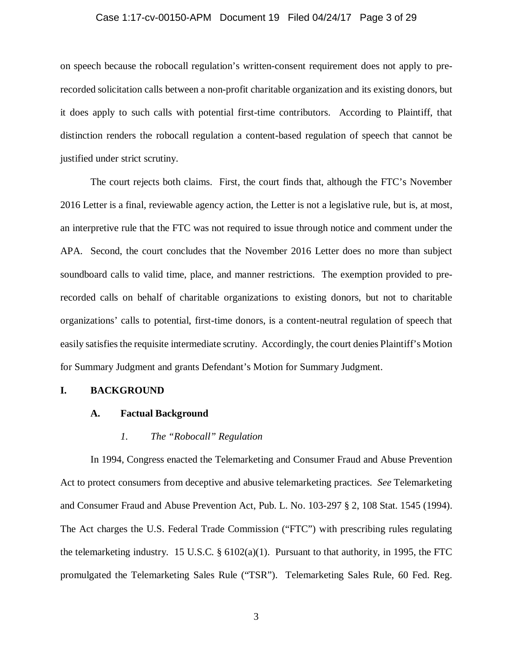#### Case 1:17-cv-00150-APM Document 19 Filed 04/24/17 Page 3 of 29

on speech because the robocall regulation's written-consent requirement does not apply to prerecorded solicitation calls between a non-profit charitable organization and its existing donors, but it does apply to such calls with potential first-time contributors. According to Plaintiff, that distinction renders the robocall regulation a content-based regulation of speech that cannot be justified under strict scrutiny.

The court rejects both claims. First, the court finds that, although the FTC's November 2016 Letter is a final, reviewable agency action, the Letter is not a legislative rule, but is, at most, an interpretive rule that the FTC was not required to issue through notice and comment under the APA. Second, the court concludes that the November 2016 Letter does no more than subject soundboard calls to valid time, place, and manner restrictions. The exemption provided to prerecorded calls on behalf of charitable organizations to existing donors, but not to charitable organizations' calls to potential, first-time donors, is a content-neutral regulation of speech that easily satisfies the requisite intermediate scrutiny. Accordingly, the court denies Plaintiff's Motion for Summary Judgment and grants Defendant's Motion for Summary Judgment.

#### **I. BACKGROUND**

## **A. Factual Background**

#### *1. The "Robocall" Regulation*

In 1994, Congress enacted the Telemarketing and Consumer Fraud and Abuse Prevention Act to protect consumers from deceptive and abusive telemarketing practices. *See* Telemarketing and Consumer Fraud and Abuse Prevention Act, Pub. L. No. 103-297 § 2, 108 Stat. 1545 (1994). The Act charges the U.S. Federal Trade Commission ("FTC") with prescribing rules regulating the telemarketing industry. 15 U.S.C. § 6102(a)(1). Pursuant to that authority, in 1995, the FTC promulgated the Telemarketing Sales Rule ("TSR"). Telemarketing Sales Rule, 60 Fed. Reg.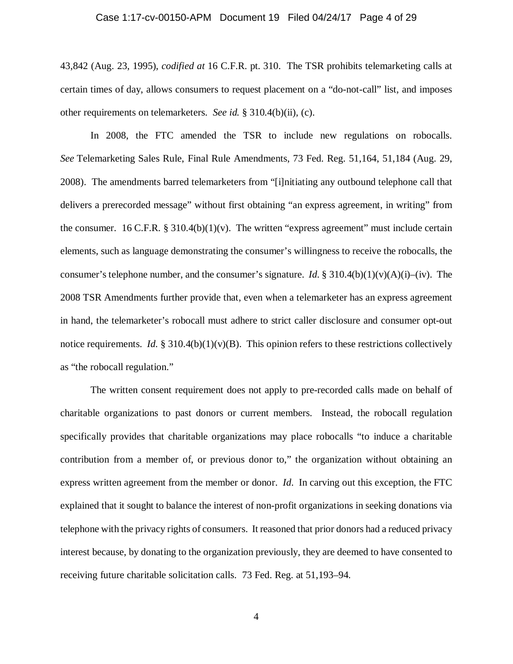#### Case 1:17-cv-00150-APM Document 19 Filed 04/24/17 Page 4 of 29

43,842 (Aug. 23, 1995), *codified at* 16 C.F.R. pt. 310. The TSR prohibits telemarketing calls at certain times of day, allows consumers to request placement on a "do-not-call" list, and imposes other requirements on telemarketers. *See id.* § 310.4(b)(ii), (c).

In 2008, the FTC amended the TSR to include new regulations on robocalls. *See* Telemarketing Sales Rule, Final Rule Amendments, 73 Fed. Reg. 51,164, 51,184 (Aug. 29, 2008). The amendments barred telemarketers from "[i]nitiating any outbound telephone call that delivers a prerecorded message" without first obtaining "an express agreement, in writing" from the consumer. 16 C.F.R.  $\S 310.4(b)(1)(v)$ . The written "express agreement" must include certain elements, such as language demonstrating the consumer's willingness to receive the robocalls, the consumer's telephone number, and the consumer's signature. *Id.* § 310.4(b)(1)(v)(A)(i)–(iv). The 2008 TSR Amendments further provide that, even when a telemarketer has an express agreement in hand, the telemarketer's robocall must adhere to strict caller disclosure and consumer opt-out notice requirements. *Id.* § 310.4(b)(1)(v)(B). This opinion refers to these restrictions collectively as "the robocall regulation."

The written consent requirement does not apply to pre-recorded calls made on behalf of charitable organizations to past donors or current members. Instead, the robocall regulation specifically provides that charitable organizations may place robocalls "to induce a charitable contribution from a member of, or previous donor to," the organization without obtaining an express written agreement from the member or donor. *Id*. In carving out this exception, the FTC explained that it sought to balance the interest of non-profit organizations in seeking donations via telephone with the privacy rights of consumers. It reasoned that prior donors had a reduced privacy interest because, by donating to the organization previously, they are deemed to have consented to receiving future charitable solicitation calls. 73 Fed. Reg. at 51,193–94.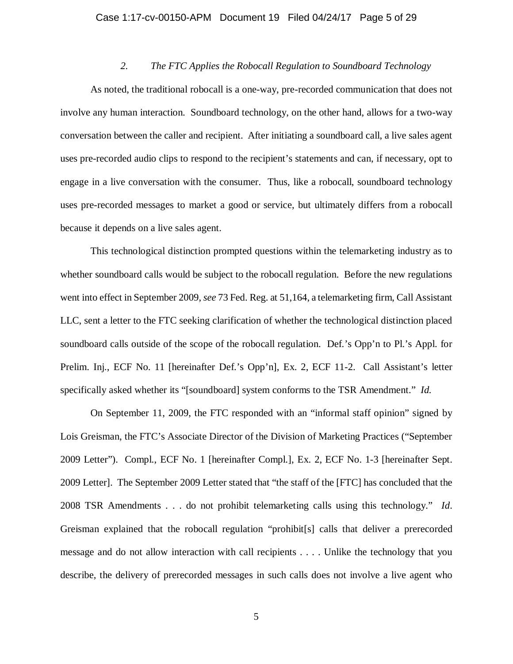#### Case 1:17-cv-00150-APM Document 19 Filed 04/24/17 Page 5 of 29

# *2. The FTC Applies the Robocall Regulation to Soundboard Technology*

As noted, the traditional robocall is a one-way, pre-recorded communication that does not involve any human interaction. Soundboard technology, on the other hand, allows for a two-way conversation between the caller and recipient. After initiating a soundboard call, a live sales agent uses pre-recorded audio clips to respond to the recipient's statements and can, if necessary, opt to engage in a live conversation with the consumer. Thus, like a robocall, soundboard technology uses pre-recorded messages to market a good or service, but ultimately differs from a robocall because it depends on a live sales agent.

This technological distinction prompted questions within the telemarketing industry as to whether soundboard calls would be subject to the robocall regulation. Before the new regulations went into effect in September 2009, *see* 73 Fed. Reg. at 51,164, a telemarketing firm, Call Assistant LLC, sent a letter to the FTC seeking clarification of whether the technological distinction placed soundboard calls outside of the scope of the robocall regulation. Def.'s Opp'n to Pl.'s Appl. for Prelim. Inj., ECF No. 11 [hereinafter Def.'s Opp'n], Ex. 2, ECF 11-2. Call Assistant's letter specifically asked whether its "[soundboard] system conforms to the TSR Amendment." *Id.* 

On September 11, 2009, the FTC responded with an "informal staff opinion" signed by Lois Greisman, the FTC's Associate Director of the Division of Marketing Practices ("September 2009 Letter"). Compl., ECF No. 1 [hereinafter Compl.], Ex. 2, ECF No. 1-3 [hereinafter Sept. 2009 Letter]. The September 2009 Letter stated that "the staff of the [FTC] has concluded that the 2008 TSR Amendments . . . do not prohibit telemarketing calls using this technology." *Id*. Greisman explained that the robocall regulation "prohibit[s] calls that deliver a prerecorded message and do not allow interaction with call recipients . . . . Unlike the technology that you describe, the delivery of prerecorded messages in such calls does not involve a live agent who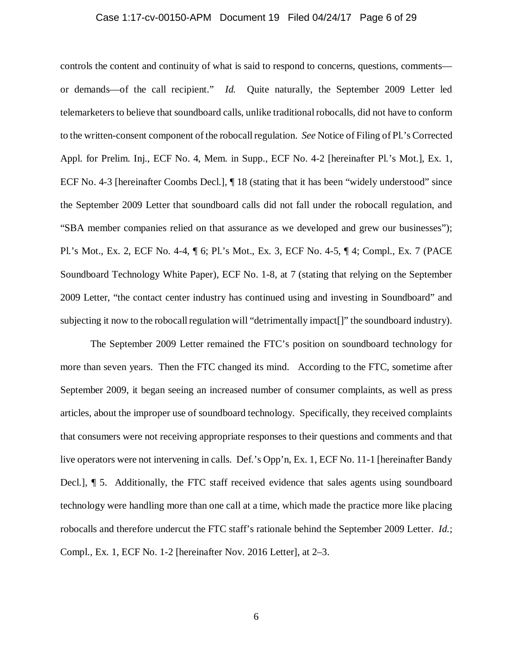#### Case 1:17-cv-00150-APM Document 19 Filed 04/24/17 Page 6 of 29

controls the content and continuity of what is said to respond to concerns, questions, comments or demands—of the call recipient." *Id.* Quite naturally, the September 2009 Letter led telemarketers to believe that soundboard calls, unlike traditional robocalls, did not have to conform to the written-consent component of the robocall regulation. *See* Notice of Filing of Pl.'s Corrected Appl. for Prelim. Inj., ECF No. 4, Mem. in Supp., ECF No. 4-2 [hereinafter Pl.'s Mot.], Ex. 1, ECF No. 4-3 [hereinafter Coombs Decl.], ¶ 18 (stating that it has been "widely understood" since the September 2009 Letter that soundboard calls did not fall under the robocall regulation, and "SBA member companies relied on that assurance as we developed and grew our businesses"); Pl.'s Mot., Ex. 2, ECF No. 4-4, ¶ 6; Pl.'s Mot., Ex. 3, ECF No. 4-5, ¶ 4; Compl., Ex. 7 (PACE Soundboard Technology White Paper), ECF No. 1-8, at 7 (stating that relying on the September 2009 Letter, "the contact center industry has continued using and investing in Soundboard" and subjecting it now to the robocall regulation will "detrimentally impact[]" the soundboard industry).

The September 2009 Letter remained the FTC's position on soundboard technology for more than seven years. Then the FTC changed its mind. According to the FTC, sometime after September 2009, it began seeing an increased number of consumer complaints, as well as press articles, about the improper use of soundboard technology. Specifically, they received complaints that consumers were not receiving appropriate responses to their questions and comments and that live operators were not intervening in calls. Def.'s Opp'n, Ex. 1, ECF No. 11-1 [hereinafter Bandy Decl.], ¶ 5. Additionally, the FTC staff received evidence that sales agents using soundboard technology were handling more than one call at a time, which made the practice more like placing robocalls and therefore undercut the FTC staff's rationale behind the September 2009 Letter. *Id.*; Compl., Ex. 1, ECF No. 1-2 [hereinafter Nov. 2016 Letter], at 2–3.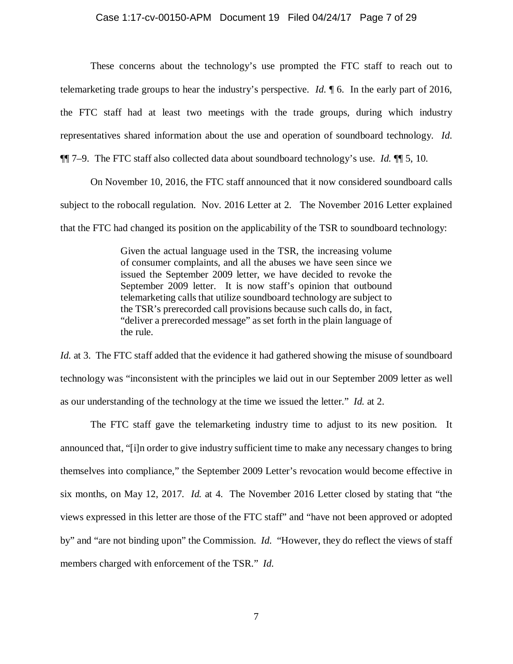#### Case 1:17-cv-00150-APM Document 19 Filed 04/24/17 Page 7 of 29

These concerns about the technology's use prompted the FTC staff to reach out to telemarketing trade groups to hear the industry's perspective. *Id.* ¶ 6. In the early part of 2016, the FTC staff had at least two meetings with the trade groups, during which industry representatives shared information about the use and operation of soundboard technology. *Id.* ¶¶ 7–9. The FTC staff also collected data about soundboard technology's use. *Id.* ¶¶ 5, 10.

On November 10, 2016, the FTC staff announced that it now considered soundboard calls subject to the robocall regulation. Nov. 2016 Letter at 2. The November 2016 Letter explained that the FTC had changed its position on the applicability of the TSR to soundboard technology:

> Given the actual language used in the TSR, the increasing volume of consumer complaints, and all the abuses we have seen since we issued the September 2009 letter, we have decided to revoke the September 2009 letter. It is now staff's opinion that outbound telemarketing calls that utilize soundboard technology are subject to the TSR's prerecorded call provisions because such calls do, in fact, "deliver a prerecorded message" as set forth in the plain language of the rule.

*Id.* at 3. The FTC staff added that the evidence it had gathered showing the misuse of soundboard technology was "inconsistent with the principles we laid out in our September 2009 letter as well as our understanding of the technology at the time we issued the letter." *Id.* at 2.

The FTC staff gave the telemarketing industry time to adjust to its new position. It announced that, "[i]n order to give industry sufficient time to make any necessary changes to bring themselves into compliance," the September 2009 Letter's revocation would become effective in six months, on May 12, 2017. *Id.* at 4. The November 2016 Letter closed by stating that "the views expressed in this letter are those of the FTC staff" and "have not been approved or adopted by" and "are not binding upon" the Commission. *Id.* "However, they do reflect the views of staff members charged with enforcement of the TSR." *Id.*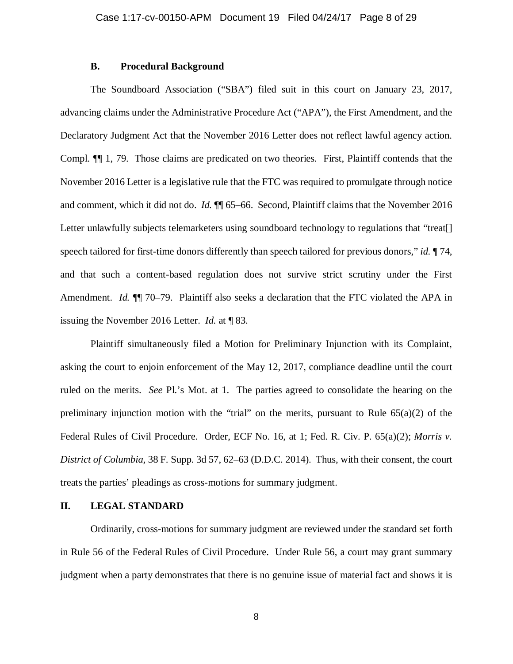### **B. Procedural Background**

The Soundboard Association ("SBA") filed suit in this court on January 23, 2017, advancing claims under the Administrative Procedure Act ("APA"), the First Amendment, and the Declaratory Judgment Act that the November 2016 Letter does not reflect lawful agency action. Compl. ¶¶ 1, 79. Those claims are predicated on two theories. First, Plaintiff contends that the November 2016 Letter is a legislative rule that the FTC was required to promulgate through notice and comment, which it did not do. *Id.* ¶¶ 65–66. Second, Plaintiff claims that the November 2016 Letter unlawfully subjects telemarketers using soundboard technology to regulations that "treat. speech tailored for first-time donors differently than speech tailored for previous donors," *id.* ¶ 74, and that such a content-based regulation does not survive strict scrutiny under the First Amendment. *Id.*  $\mathbb{I}$  70–79. Plaintiff also seeks a declaration that the FTC violated the APA in issuing the November 2016 Letter. *Id.* at ¶ 83.

Plaintiff simultaneously filed a Motion for Preliminary Injunction with its Complaint, asking the court to enjoin enforcement of the May 12, 2017, compliance deadline until the court ruled on the merits. *See* Pl.'s Mot. at 1. The parties agreed to consolidate the hearing on the preliminary injunction motion with the "trial" on the merits, pursuant to Rule  $65(a)(2)$  of the Federal Rules of Civil Procedure. Order, ECF No. 16, at 1; Fed. R. Civ. P. 65(a)(2); *Morris v. District of Columbia*, 38 F. Supp. 3d 57, 62–63 (D.D.C. 2014). Thus, with their consent, the court treats the parties' pleadings as cross-motions for summary judgment.

## **II. LEGAL STANDARD**

Ordinarily, cross-motions for summary judgment are reviewed under the standard set forth in Rule 56 of the Federal Rules of Civil Procedure. Under Rule 56, a court may grant summary judgment when a party demonstrates that there is no genuine issue of material fact and shows it is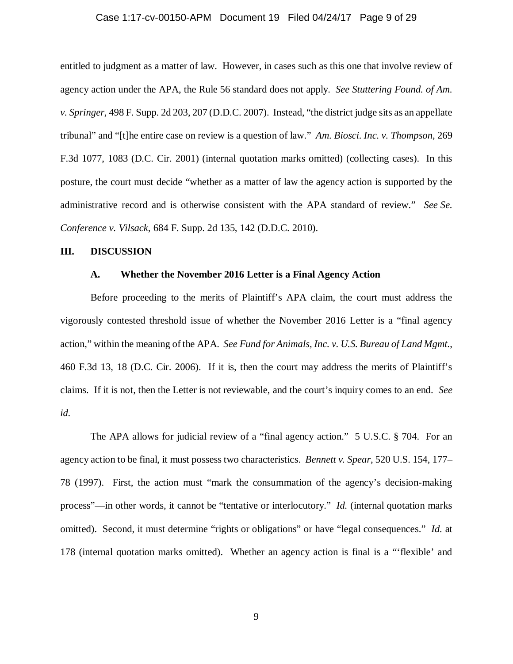#### Case 1:17-cv-00150-APM Document 19 Filed 04/24/17 Page 9 of 29

entitled to judgment as a matter of law. However, in cases such as this one that involve review of agency action under the APA, the Rule 56 standard does not apply. *See Stuttering Found. of Am. v. Springer*, 498 F. Supp. 2d 203, 207 (D.D.C. 2007). Instead, "the district judge sits as an appellate tribunal" and "[t]he entire case on review is a question of law." *Am. Biosci. Inc. v. Thompson*, 269 F.3d 1077, 1083 (D.C. Cir. 2001) (internal quotation marks omitted) (collecting cases). In this posture, the court must decide "whether as a matter of law the agency action is supported by the administrative record and is otherwise consistent with the APA standard of review." *See Se. Conference v. Vilsack*, 684 F. Supp. 2d 135, 142 (D.D.C. 2010).

#### **III. DISCUSSION**

## **A. Whether the November 2016 Letter is a Final Agency Action**

Before proceeding to the merits of Plaintiff's APA claim, the court must address the vigorously contested threshold issue of whether the November 2016 Letter is a "final agency action," within the meaning of the APA. *See Fund for Animals, Inc. v. U.S. Bureau of Land Mgmt.*, 460 F.3d 13, 18 (D.C. Cir. 2006). If it is, then the court may address the merits of Plaintiff's claims. If it is not, then the Letter is not reviewable, and the court's inquiry comes to an end. *See id.* 

The APA allows for judicial review of a "final agency action." 5 U.S.C. § 704. For an agency action to be final, it must possess two characteristics. *Bennett v. Spear*, 520 U.S. 154, 177– 78 (1997). First, the action must "mark the consummation of the agency's decision-making process"—in other words, it cannot be "tentative or interlocutory." *Id.* (internal quotation marks omitted). Second, it must determine "rights or obligations" or have "legal consequences." *Id.* at 178 (internal quotation marks omitted). Whether an agency action is final is a "'flexible' and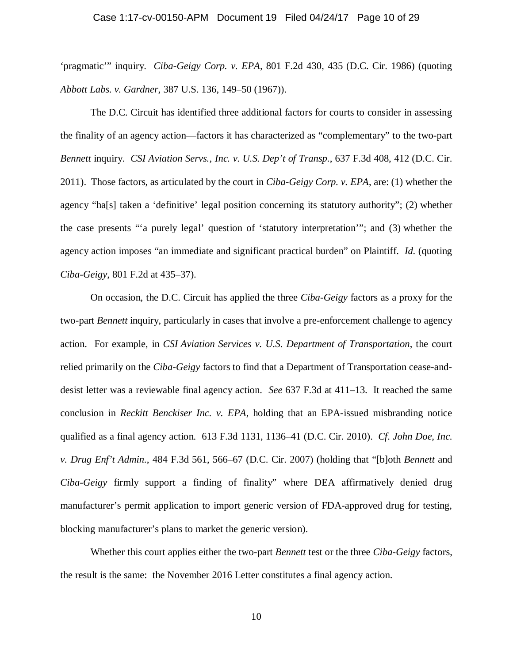#### Case 1:17-cv-00150-APM Document 19 Filed 04/24/17 Page 10 of 29

'pragmatic'" inquiry. *Ciba-Geigy Corp. v. EPA*, 801 F.2d 430, 435 (D.C. Cir. 1986) (quoting *Abbott Labs. v. Gardner*, 387 U.S. 136, 149–50 (1967)).

The D.C. Circuit has identified three additional factors for courts to consider in assessing the finality of an agency action—factors it has characterized as "complementary" to the two-part *Bennett* inquiry. *CSI Aviation Servs., Inc. v. U.S. Dep't of Transp.*, 637 F.3d 408, 412 (D.C. Cir. 2011). Those factors, as articulated by the court in *Ciba-Geigy Corp. v. EPA*, are: (1) whether the agency "ha[s] taken a 'definitive' legal position concerning its statutory authority"; (2) whether the case presents "'a purely legal' question of 'statutory interpretation'"; and (3) whether the agency action imposes "an immediate and significant practical burden" on Plaintiff. *Id.* (quoting *Ciba-Geigy*, 801 F.2d at 435–37).

On occasion, the D.C. Circuit has applied the three *Ciba-Geigy* factors as a proxy for the two-part *Bennett* inquiry, particularly in cases that involve a pre-enforcement challenge to agency action. For example, in *CSI Aviation Services v. U.S. Department of Transportation*, the court relied primarily on the *Ciba-Geigy* factors to find that a Department of Transportation cease-anddesist letter was a reviewable final agency action. *See* 637 F.3d at 411–13. It reached the same conclusion in *Reckitt Benckiser Inc. v. EPA*, holding that an EPA-issued misbranding notice qualified as a final agency action. 613 F.3d 1131, 1136–41 (D.C. Cir. 2010). *Cf. John Doe, Inc. v. Drug Enf't Admin.*, 484 F.3d 561, 566–67 (D.C. Cir. 2007) (holding that "[b]oth *Bennett* and *Ciba-Geigy* firmly support a finding of finality" where DEA affirmatively denied drug manufacturer's permit application to import generic version of FDA-approved drug for testing, blocking manufacturer's plans to market the generic version).

Whether this court applies either the two-part *Bennett* test or the three *Ciba-Geigy* factors, the result is the same: the November 2016 Letter constitutes a final agency action.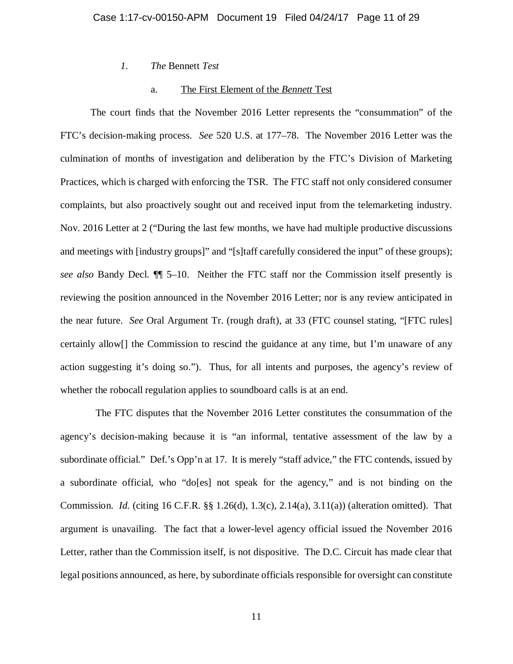*1. The* Bennett *Test* 

## a. The First Element of the *Bennett* Test

The court finds that the November 2016 Letter represents the "consummation" of the FTC's decision-making process. *See* 520 U.S. at 177–78. The November 2016 Letter was the culmination of months of investigation and deliberation by the FTC's Division of Marketing Practices, which is charged with enforcing the TSR. The FTC staff not only considered consumer complaints, but also proactively sought out and received input from the telemarketing industry. Nov. 2016 Letter at 2 ("During the last few months, we have had multiple productive discussions and meetings with [industry groups]" and "[s]taff carefully considered the input" of these groups); *see also* Bandy Decl. ¶¶ 5–10.Neither the FTC staff nor the Commission itself presently is reviewing the position announced in the November 2016 Letter; nor is any review anticipated in the near future. *See* Oral Argument Tr. (rough draft), at 33 (FTC counsel stating, "[FTC rules] certainly allow[] the Commission to rescind the guidance at any time, but I'm unaware of any action suggesting it's doing so."). Thus, for all intents and purposes, the agency's review of whether the robocall regulation applies to soundboard calls is at an end.

 The FTC disputes that the November 2016 Letter constitutes the consummation of the agency's decision-making because it is "an informal, tentative assessment of the law by a subordinate official." Def.'s Opp'n at 17. It is merely "staff advice," the FTC contends, issued by a subordinate official, who "do[es] not speak for the agency," and is not binding on the Commission. *Id.* (citing 16 C.F.R. §§ 1.26(d), 1.3(c), 2.14(a), 3.11(a)) (alteration omitted). That argument is unavailing. The fact that a lower-level agency official issued the November 2016 Letter, rather than the Commission itself, is not dispositive. The D.C. Circuit has made clear that legal positions announced, as here, by subordinate officials responsible for oversight can constitute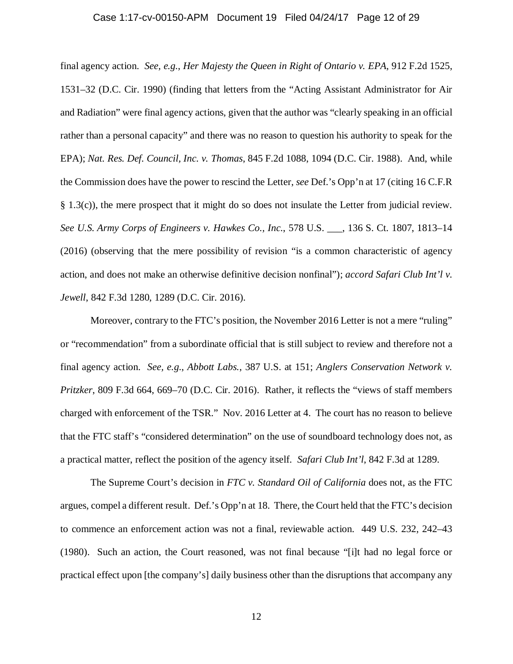#### Case 1:17-cv-00150-APM Document 19 Filed 04/24/17 Page 12 of 29

final agency action. *See, e.g.*, *Her Majesty the Queen in Right of Ontario v. EPA*, 912 F.2d 1525, 1531–32 (D.C. Cir. 1990) (finding that letters from the "Acting Assistant Administrator for Air and Radiation" were final agency actions, given that the author was "clearly speaking in an official rather than a personal capacity" and there was no reason to question his authority to speak for the EPA); *Nat. Res. Def. Council, Inc. v. Thomas*, 845 F.2d 1088, 1094 (D.C. Cir. 1988). And, while the Commission does have the power to rescind the Letter, *see* Def.'s Opp'n at 17 (citing 16 C.F.R § 1.3(c)), the mere prospect that it might do so does not insulate the Letter from judicial review. *See U.S. Army Corps of Engineers v. Hawkes Co., Inc.*, 578 U.S. \_\_\_, 136 S. Ct. 1807, 1813–14 (2016) (observing that the mere possibility of revision "is a common characteristic of agency action, and does not make an otherwise definitive decision nonfinal"); *accord Safari Club Int'l v. Jewell*, 842 F.3d 1280, 1289 (D.C. Cir. 2016).

Moreover, contrary to the FTC's position, the November 2016 Letter is not a mere "ruling" or "recommendation" from a subordinate official that is still subject to review and therefore not a final agency action. *See, e.g.*, *Abbott Labs.*, 387 U.S. at 151; *Anglers Conservation Network v. Pritzker*, 809 F.3d 664, 669–70 (D.C. Cir. 2016). Rather, it reflects the "views of staff members charged with enforcement of the TSR." Nov. 2016 Letter at 4. The court has no reason to believe that the FTC staff's "considered determination" on the use of soundboard technology does not, as a practical matter, reflect the position of the agency itself. *Safari Club Int'l*, 842 F.3d at 1289.

The Supreme Court's decision in *FTC v. Standard Oil of California* does not, as the FTC argues, compel a different result. Def.'s Opp'n at 18. There, the Court held that the FTC's decision to commence an enforcement action was not a final, reviewable action. 449 U.S. 232, 242–43 (1980). Such an action, the Court reasoned, was not final because "[i]t had no legal force or practical effect upon [the company's] daily business other than the disruptions that accompany any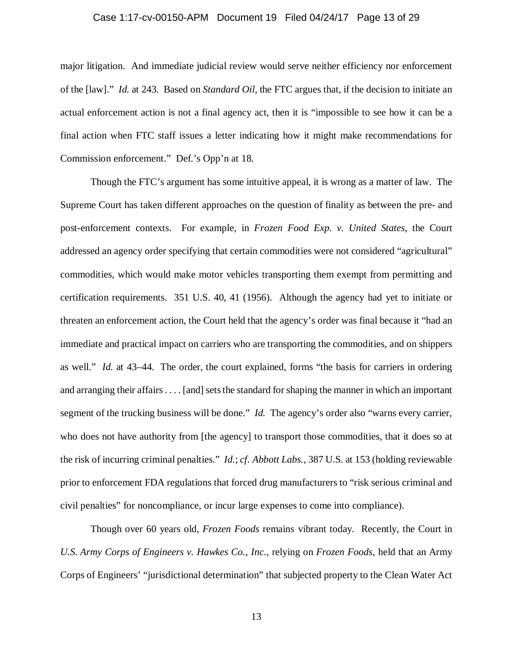#### Case 1:17-cv-00150-APM Document 19 Filed 04/24/17 Page 13 of 29

major litigation. And immediate judicial review would serve neither efficiency nor enforcement of the [law]." *Id.* at 243. Based on *Standard Oil*, the FTC argues that, if the decision to initiate an actual enforcement action is not a final agency act, then it is "impossible to see how it can be a final action when FTC staff issues a letter indicating how it might make recommendations for Commission enforcement." Def.'s Opp'n at 18.

Though the FTC's argument has some intuitive appeal, it is wrong as a matter of law. The Supreme Court has taken different approaches on the question of finality as between the pre- and post-enforcement contexts. For example, in *Frozen Food Exp. v. United States*, the Court addressed an agency order specifying that certain commodities were not considered "agricultural" commodities, which would make motor vehicles transporting them exempt from permitting and certification requirements. 351 U.S. 40, 41 (1956). Although the agency had yet to initiate or threaten an enforcement action, the Court held that the agency's order was final because it "had an immediate and practical impact on carriers who are transporting the commodities, and on shippers as well." *Id.* at 43–44. The order, the court explained, forms "the basis for carriers in ordering and arranging their affairs . . . . [and] sets the standard for shaping the manner in which an important segment of the trucking business will be done." *Id.* The agency's order also "warns every carrier, who does not have authority from [the agency] to transport those commodities, that it does so at the risk of incurring criminal penalties." *Id.*; *cf. Abbott Labs.*, 387 U.S. at 153 (holding reviewable prior to enforcement FDA regulations that forced drug manufacturers to "risk serious criminal and civil penalties" for noncompliance, or incur large expenses to come into compliance).

Though over 60 years old, *Frozen Foods* remains vibrant today. Recently, the Court in *U.S. Army Corps of Engineers v. Hawkes Co., Inc.*, relying on *Frozen Foods*, held that an Army Corps of Engineers' "jurisdictional determination" that subjected property to the Clean Water Act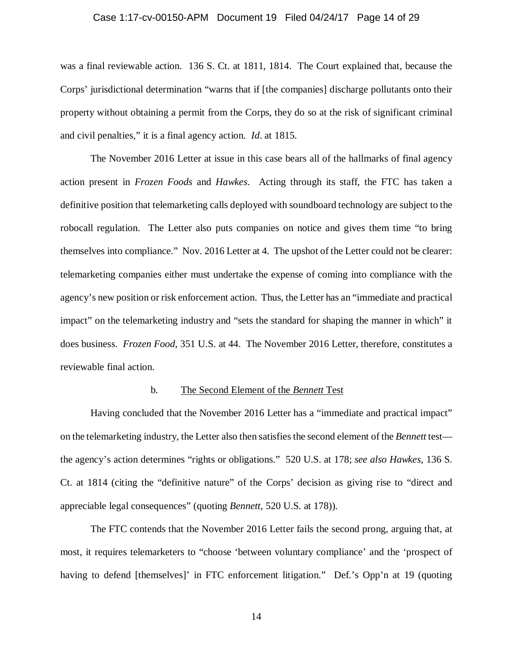#### Case 1:17-cv-00150-APM Document 19 Filed 04/24/17 Page 14 of 29

was a final reviewable action. 136 S. Ct. at 1811, 1814. The Court explained that, because the Corps' jurisdictional determination "warns that if [the companies] discharge pollutants onto their property without obtaining a permit from the Corps, they do so at the risk of significant criminal and civil penalties," it is a final agency action. *Id*. at 1815.

The November 2016 Letter at issue in this case bears all of the hallmarks of final agency action present in *Frozen Foods* and *Hawkes*. Acting through its staff, the FTC has taken a definitive position that telemarketing calls deployed with soundboard technology are subject to the robocall regulation. The Letter also puts companies on notice and gives them time "to bring themselves into compliance." Nov. 2016 Letter at 4. The upshot of the Letter could not be clearer: telemarketing companies either must undertake the expense of coming into compliance with the agency's new position or risk enforcement action. Thus, the Letter has an "immediate and practical impact" on the telemarketing industry and "sets the standard for shaping the manner in which" it does business. *Frozen Food*, 351 U.S. at 44. The November 2016 Letter, therefore, constitutes a reviewable final action.

#### b. The Second Element of the *Bennett* Test

Having concluded that the November 2016 Letter has a "immediate and practical impact" on the telemarketing industry, the Letter also then satisfies the second element of the *Bennett* test the agency's action determines "rights or obligations." 520 U.S. at 178; *see also Hawkes*, 136 S. Ct. at 1814 (citing the "definitive nature" of the Corps' decision as giving rise to "direct and appreciable legal consequences" (quoting *Bennett*, 520 U.S. at 178)).

The FTC contends that the November 2016 Letter fails the second prong, arguing that, at most, it requires telemarketers to "choose 'between voluntary compliance' and the 'prospect of having to defend [themselves]' in FTC enforcement litigation." Def.'s Opp'n at 19 (quoting

14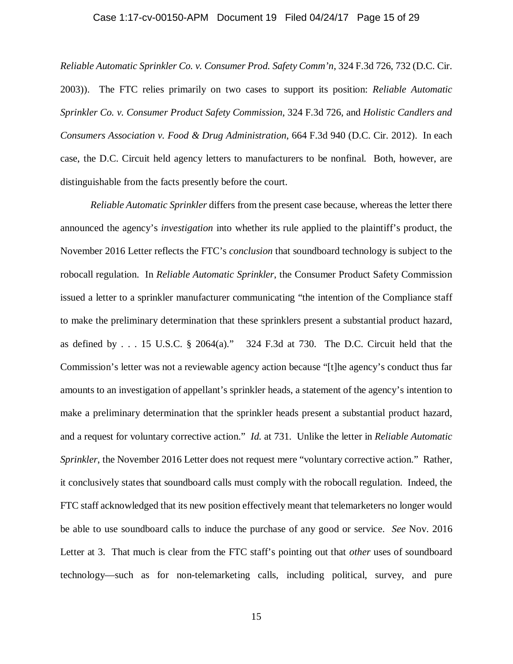#### Case 1:17-cv-00150-APM Document 19 Filed 04/24/17 Page 15 of 29

*Reliable Automatic Sprinkler Co. v. Consumer Prod. Safety Comm'n*, 324 F.3d 726, 732 (D.C. Cir. 2003)). The FTC relies primarily on two cases to support its position: *Reliable Automatic Sprinkler Co. v. Consumer Product Safety Commission*, 324 F.3d 726, and *Holistic Candlers and Consumers Association v. Food & Drug Administration*, 664 F.3d 940 (D.C. Cir. 2012). In each case, the D.C. Circuit held agency letters to manufacturers to be nonfinal. Both, however, are distinguishable from the facts presently before the court.

*Reliable Automatic Sprinkler* differs from the present case because, whereas the letter there announced the agency's *investigation* into whether its rule applied to the plaintiff's product, the November 2016 Letter reflects the FTC's *conclusion* that soundboard technology is subject to the robocall regulation. In *Reliable Automatic Sprinkler*, the Consumer Product Safety Commission issued a letter to a sprinkler manufacturer communicating "the intention of the Compliance staff to make the preliminary determination that these sprinklers present a substantial product hazard, as defined by . . . 15 U.S.C. § 2064(a)." 324 F.3d at 730. The D.C. Circuit held that the Commission's letter was not a reviewable agency action because "[t]he agency's conduct thus far amounts to an investigation of appellant's sprinkler heads, a statement of the agency's intention to make a preliminary determination that the sprinkler heads present a substantial product hazard, and a request for voluntary corrective action." *Id.* at 731. Unlike the letter in *Reliable Automatic Sprinkler*, the November 2016 Letter does not request mere "voluntary corrective action." Rather, it conclusively states that soundboard calls must comply with the robocall regulation. Indeed, the FTC staff acknowledged that its new position effectively meant that telemarketers no longer would be able to use soundboard calls to induce the purchase of any good or service. *See* Nov. 2016 Letter at 3. That much is clear from the FTC staff's pointing out that *other* uses of soundboard technology—such as for non-telemarketing calls, including political, survey, and pure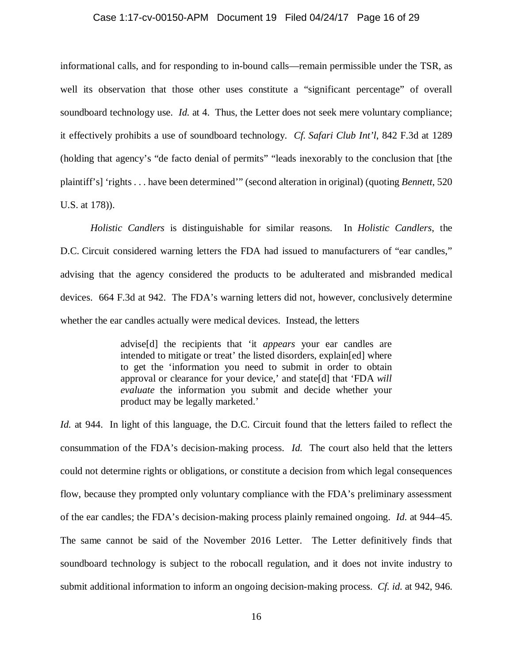#### Case 1:17-cv-00150-APM Document 19 Filed 04/24/17 Page 16 of 29

informational calls, and for responding to in-bound calls—remain permissible under the TSR, as well its observation that those other uses constitute a "significant percentage" of overall soundboard technology use. *Id*. at 4. Thus, the Letter does not seek mere voluntary compliance; it effectively prohibits a use of soundboard technology. *Cf. Safari Club Int'l*, 842 F.3d at 1289 (holding that agency's "de facto denial of permits" "leads inexorably to the conclusion that [the plaintiff's] 'rights . . . have been determined'" (second alteration in original) (quoting *Bennett*, 520 U.S. at 178)).

*Holistic Candlers* is distinguishable for similar reasons. In *Holistic Candlers*, the D.C. Circuit considered warning letters the FDA had issued to manufacturers of "ear candles," advising that the agency considered the products to be adulterated and misbranded medical devices. 664 F.3d at 942. The FDA's warning letters did not, however, conclusively determine whether the ear candles actually were medical devices. Instead, the letters

> advise[d] the recipients that 'it *appears* your ear candles are intended to mitigate or treat' the listed disorders, explain[ed] where to get the 'information you need to submit in order to obtain approval or clearance for your device,' and state[d] that 'FDA *will evaluate* the information you submit and decide whether your product may be legally marketed.'

*Id.* at 944. In light of this language, the D.C. Circuit found that the letters failed to reflect the consummation of the FDA's decision-making process. *Id.* The court also held that the letters could not determine rights or obligations, or constitute a decision from which legal consequences flow, because they prompted only voluntary compliance with the FDA's preliminary assessment of the ear candles; the FDA's decision-making process plainly remained ongoing. *Id.* at 944–45. The same cannot be said of the November 2016 Letter. The Letter definitively finds that soundboard technology is subject to the robocall regulation, and it does not invite industry to submit additional information to inform an ongoing decision-making process. *Cf. id.* at 942, 946.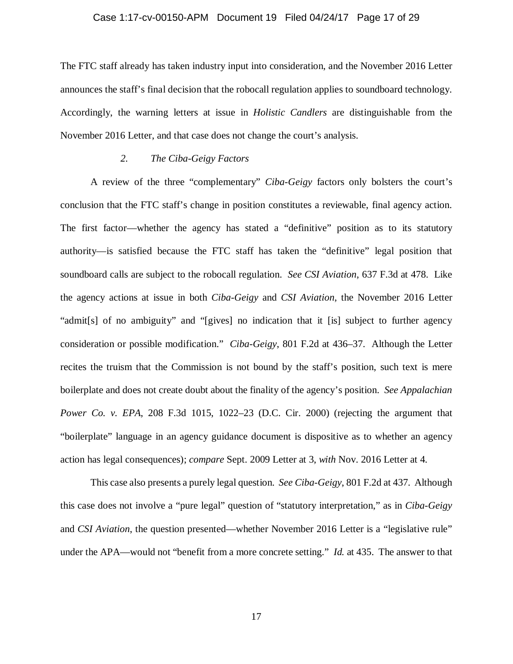#### Case 1:17-cv-00150-APM Document 19 Filed 04/24/17 Page 17 of 29

The FTC staff already has taken industry input into consideration, and the November 2016 Letter announces the staff's final decision that the robocall regulation applies to soundboard technology. Accordingly, the warning letters at issue in *Holistic Candlers* are distinguishable from the November 2016 Letter, and that case does not change the court's analysis.

## *2. The Ciba-Geigy Factors*

A review of the three "complementary" *Ciba-Geigy* factors only bolsters the court's conclusion that the FTC staff's change in position constitutes a reviewable, final agency action. The first factor—whether the agency has stated a "definitive" position as to its statutory authority—is satisfied because the FTC staff has taken the "definitive" legal position that soundboard calls are subject to the robocall regulation. *See CSI Aviation*, 637 F.3d at 478. Like the agency actions at issue in both *Ciba-Geigy* and *CSI Aviation*, the November 2016 Letter "admit[s] of no ambiguity" and "[gives] no indication that it [is] subject to further agency consideration or possible modification." *Ciba-Geigy*, 801 F.2d at 436–37. Although the Letter recites the truism that the Commission is not bound by the staff's position, such text is mere boilerplate and does not create doubt about the finality of the agency's position. *See Appalachian Power Co. v. EPA*, 208 F.3d 1015, 1022–23 (D.C. Cir. 2000) (rejecting the argument that "boilerplate" language in an agency guidance document is dispositive as to whether an agency action has legal consequences); *compare* Sept. 2009 Letter at 3, *with* Nov. 2016 Letter at 4.

This case also presents a purely legal question. *See Ciba-Geigy*, 801 F.2d at 437. Although this case does not involve a "pure legal" question of "statutory interpretation," as in *Ciba-Geigy*  and *CSI Aviation*, the question presented—whether November 2016 Letter is a "legislative rule" under the APA—would not "benefit from a more concrete setting." *Id.* at 435. The answer to that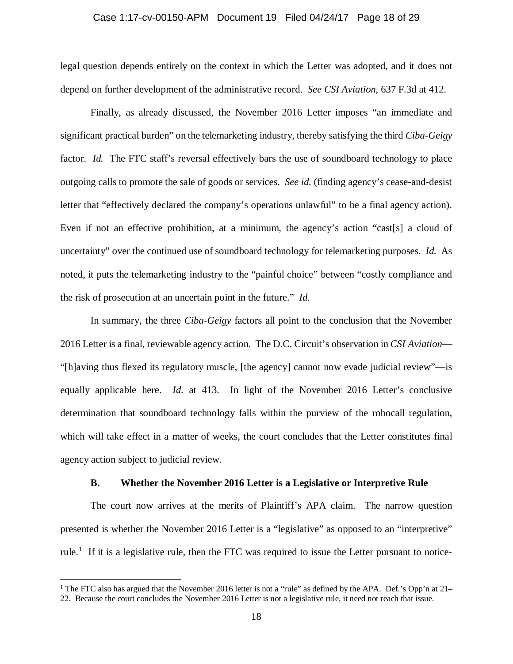#### Case 1:17-cv-00150-APM Document 19 Filed 04/24/17 Page 18 of 29

legal question depends entirely on the context in which the Letter was adopted, and it does not depend on further development of the administrative record. *See CSI Aviation*, 637 F.3d at 412.

Finally, as already discussed, the November 2016 Letter imposes "an immediate and significant practical burden" on the telemarketing industry, thereby satisfying the third *Ciba-Geigy*  factor. *Id.* The FTC staff's reversal effectively bars the use of soundboard technology to place outgoing calls to promote the sale of goods or services. *See id.* (finding agency's cease-and-desist letter that "effectively declared the company's operations unlawful" to be a final agency action). Even if not an effective prohibition, at a minimum, the agency's action "cast[s] a cloud of uncertainty" over the continued use of soundboard technology for telemarketing purposes. *Id.* As noted, it puts the telemarketing industry to the "painful choice" between "costly compliance and the risk of prosecution at an uncertain point in the future." *Id.* 

In summary, the three *Ciba-Geigy* factors all point to the conclusion that the November 2016 Letter is a final, reviewable agency action. The D.C. Circuit's observation in *CSI Aviation*— "[h]aving thus flexed its regulatory muscle, [the agency] cannot now evade judicial review"—is equally applicable here. *Id.* at 413.In light of the November 2016 Letter's conclusive determination that soundboard technology falls within the purview of the robocall regulation, which will take effect in a matter of weeks, the court concludes that the Letter constitutes final agency action subject to judicial review.

#### **B. Whether the November 2016 Letter is a Legislative or Interpretive Rule**

The court now arrives at the merits of Plaintiff's APA claim. The narrow question presented is whether the November 2016 Letter is a "legislative" as opposed to an "interpretive" rule.<sup>[1](#page-17-0)</sup> If it is a legislative rule, then the FTC was required to issue the Letter pursuant to notice-

l

<span id="page-17-0"></span><sup>&</sup>lt;sup>1</sup> The FTC also has argued that the November 2016 letter is not a "rule" as defined by the APA. Def.'s Opp'n at  $21-$ 22. Because the court concludes the November 2016 Letter is not a legislative rule, it need not reach that issue.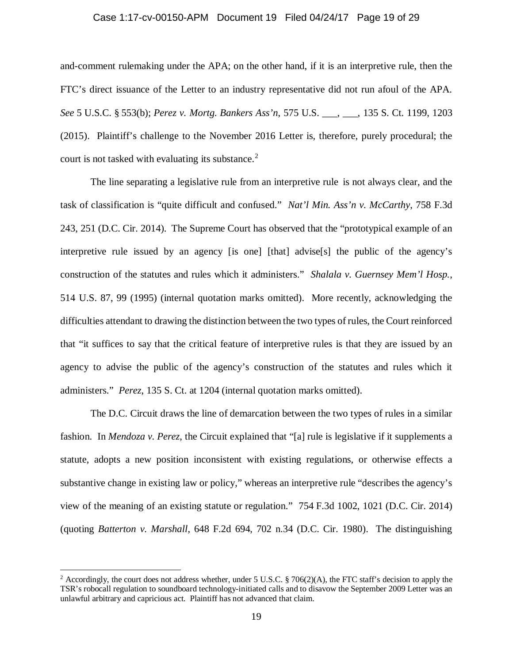#### Case 1:17-cv-00150-APM Document 19 Filed 04/24/17 Page 19 of 29

and-comment rulemaking under the APA; on the other hand, if it is an interpretive rule, then the FTC's direct issuance of the Letter to an industry representative did not run afoul of the APA. *See* 5 U.S.C. § 553(b); *Perez v. Mortg. Bankers Ass'n*, 575 U.S. \_\_\_, \_\_\_, 135 S. Ct. 1199, 1203 (2015). Plaintiff's challenge to the November 2016 Letter is, therefore, purely procedural; the court is not tasked with evaluating its substance. [2](#page-18-0)

The line separating a legislative rule from an interpretive rule is not always clear, and the task of classification is "quite difficult and confused." *Nat'l Min. Ass'n v. McCarthy*, 758 F.3d 243, 251 (D.C. Cir. 2014). The Supreme Court has observed that the "prototypical example of an interpretive rule issued by an agency [is one] [that] advise[s] the public of the agency's construction of the statutes and rules which it administers." *Shalala v. Guernsey Mem'l Hosp.*, 514 U.S. 87, 99 (1995) (internal quotation marks omitted). More recently, acknowledging the difficulties attendant to drawing the distinction between the two types of rules, the Court reinforced that "it suffices to say that the critical feature of interpretive rules is that they are issued by an agency to advise the public of the agency's construction of the statutes and rules which it administers." *Perez*, 135 S. Ct. at 1204 (internal quotation marks omitted).

The D.C. Circuit draws the line of demarcation between the two types of rules in a similar fashion. In *Mendoza v. Perez*, the Circuit explained that "[a] rule is legislative if it supplements a statute, adopts a new position inconsistent with existing regulations, or otherwise effects a substantive change in existing law or policy," whereas an interpretive rule "describes the agency's view of the meaning of an existing statute or regulation." 754 F.3d 1002, 1021 (D.C. Cir. 2014) (quoting *Batterton v. Marshall*, 648 F.2d 694, 702 n.34 (D.C. Cir. 1980). The distinguishing

l

<span id="page-18-0"></span><sup>&</sup>lt;sup>2</sup> Accordingly, the court does not address whether, under 5 U.S.C. § 706(2)(A), the FTC staff's decision to apply the TSR's robocall regulation to soundboard technology-initiated calls and to disavow the September 2009 Letter was an unlawful arbitrary and capricious act. Plaintiff has not advanced that claim.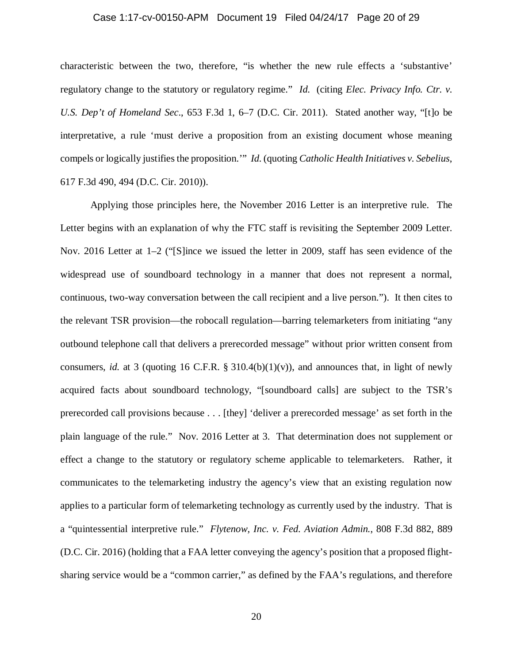#### Case 1:17-cv-00150-APM Document 19 Filed 04/24/17 Page 20 of 29

characteristic between the two, therefore, "is whether the new rule effects a 'substantive' regulatory change to the statutory or regulatory regime." *Id*. (citing *Elec. Privacy Info. Ctr. v. U.S. Dep't of Homeland Sec*., 653 F.3d 1, 6–7 (D.C. Cir. 2011). Stated another way, "[t]o be interpretative, a rule 'must derive a proposition from an existing document whose meaning compels or logically justifies the proposition.'" *Id.* (quoting *Catholic Health Initiatives v. Sebelius*, 617 F.3d 490, 494 (D.C. Cir. 2010)).

Applying those principles here, the November 2016 Letter is an interpretive rule. The Letter begins with an explanation of why the FTC staff is revisiting the September 2009 Letter. Nov. 2016 Letter at 1–2 ("S lince we issued the letter in 2009, staff has seen evidence of the widespread use of soundboard technology in a manner that does not represent a normal, continuous, two-way conversation between the call recipient and a live person."). It then cites to the relevant TSR provision—the robocall regulation—barring telemarketers from initiating "any outbound telephone call that delivers a prerecorded message" without prior written consent from consumers, *id.* at 3 (quoting 16 C.F.R. § 310.4(b)(1)(v)), and announces that, in light of newly acquired facts about soundboard technology, "[soundboard calls] are subject to the TSR's prerecorded call provisions because . . . [they] 'deliver a prerecorded message' as set forth in the plain language of the rule." Nov. 2016 Letter at 3. That determination does not supplement or effect a change to the statutory or regulatory scheme applicable to telemarketers. Rather, it communicates to the telemarketing industry the agency's view that an existing regulation now applies to a particular form of telemarketing technology as currently used by the industry. That is a "quintessential interpretive rule." *Flytenow, Inc. v. Fed. Aviation Admin.*, 808 F.3d 882, 889 (D.C. Cir. 2016) (holding that a FAA letter conveying the agency's position that a proposed flightsharing service would be a "common carrier," as defined by the FAA's regulations, and therefore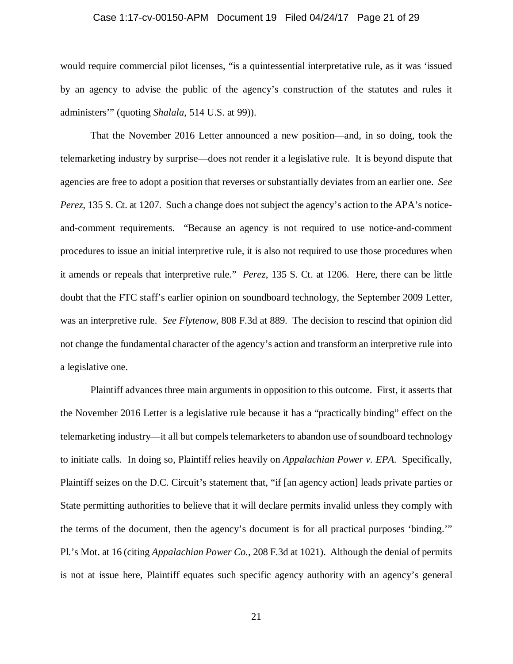#### Case 1:17-cv-00150-APM Document 19 Filed 04/24/17 Page 21 of 29

would require commercial pilot licenses, "is a quintessential interpretative rule, as it was 'issued by an agency to advise the public of the agency's construction of the statutes and rules it administers'" (quoting *Shalala*, 514 U.S. at 99)).

That the November 2016 Letter announced a new position—and, in so doing, took the telemarketing industry by surprise—does not render it a legislative rule. It is beyond dispute that agencies are free to adopt a position that reverses or substantially deviates from an earlier one. *See Perez*, 135 S. Ct. at 1207. Such a change does not subject the agency's action to the APA's noticeand-comment requirements. "Because an agency is not required to use notice-and-comment procedures to issue an initial interpretive rule, it is also not required to use those procedures when it amends or repeals that interpretive rule." *Perez*, 135 S. Ct. at 1206. Here, there can be little doubt that the FTC staff's earlier opinion on soundboard technology, the September 2009 Letter, was an interpretive rule. *See Flytenow*, 808 F.3d at 889. The decision to rescind that opinion did not change the fundamental character of the agency's action and transform an interpretive rule into a legislative one.

Plaintiff advances three main arguments in opposition to this outcome. First, it asserts that the November 2016 Letter is a legislative rule because it has a "practically binding" effect on the telemarketing industry—it all but compels telemarketers to abandon use of soundboard technology to initiate calls. In doing so, Plaintiff relies heavily on *Appalachian Power v. EPA*. Specifically, Plaintiff seizes on the D.C. Circuit's statement that, "if [an agency action] leads private parties or State permitting authorities to believe that it will declare permits invalid unless they comply with the terms of the document, then the agency's document is for all practical purposes 'binding.'" Pl.'s Mot. at 16 (citing *Appalachian Power Co.*, 208 F.3d at 1021). Although the denial of permits is not at issue here, Plaintiff equates such specific agency authority with an agency's general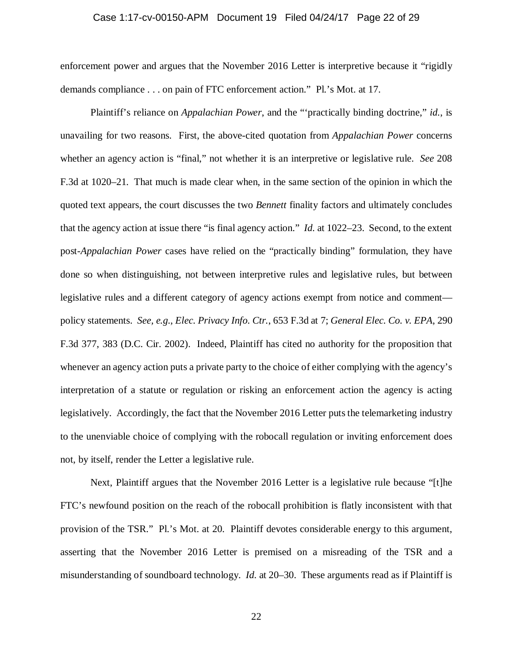#### Case 1:17-cv-00150-APM Document 19 Filed 04/24/17 Page 22 of 29

enforcement power and argues that the November 2016 Letter is interpretive because it "rigidly demands compliance . . . on pain of FTC enforcement action." Pl.'s Mot. at 17.

Plaintiff's reliance on *Appalachian Power*, and the "'practically binding doctrine," *id.*, is unavailing for two reasons. First, the above-cited quotation from *Appalachian Power* concerns whether an agency action is "final," not whether it is an interpretive or legislative rule. *See* 208 F.3d at 1020–21. That much is made clear when, in the same section of the opinion in which the quoted text appears, the court discusses the two *Bennett* finality factors and ultimately concludes that the agency action at issue there "is final agency action." *Id.* at 1022–23. Second, to the extent post-*Appalachian Power* cases have relied on the "practically binding" formulation, they have done so when distinguishing, not between interpretive rules and legislative rules, but between legislative rules and a different category of agency actions exempt from notice and comment policy statements. *See, e.g.*, *Elec. Privacy Info. Ctr.*, 653 F.3d at 7; *General Elec. Co. v. EPA*, 290 F.3d 377, 383 (D.C. Cir. 2002). Indeed, Plaintiff has cited no authority for the proposition that whenever an agency action puts a private party to the choice of either complying with the agency's interpretation of a statute or regulation or risking an enforcement action the agency is acting legislatively. Accordingly, the fact that the November 2016 Letter puts the telemarketing industry to the unenviable choice of complying with the robocall regulation or inviting enforcement does not, by itself, render the Letter a legislative rule.

Next, Plaintiff argues that the November 2016 Letter is a legislative rule because "[t]he FTC's newfound position on the reach of the robocall prohibition is flatly inconsistent with that provision of the TSR." Pl.'s Mot. at 20. Plaintiff devotes considerable energy to this argument, asserting that the November 2016 Letter is premised on a misreading of the TSR and a misunderstanding of soundboard technology. *Id.* at 20–30. These arguments read as if Plaintiff is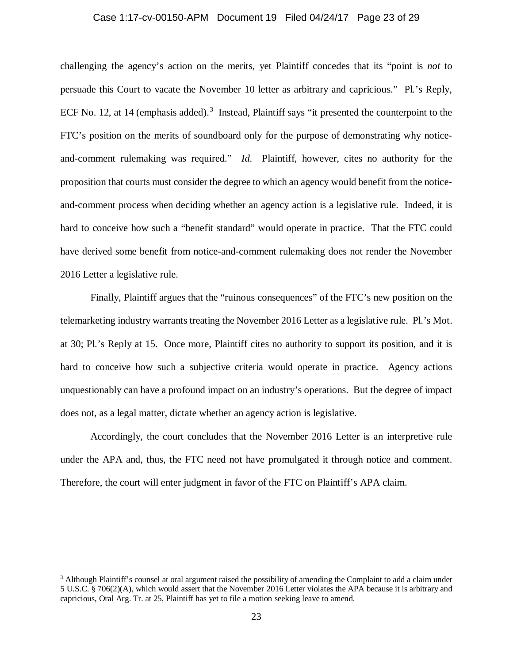# Case 1:17-cv-00150-APM Document 19 Filed 04/24/17 Page 23 of 29

challenging the agency's action on the merits, yet Plaintiff concedes that its "point is *not* to persuade this Court to vacate the November 10 letter as arbitrary and capricious." Pl.'s Reply, ECF No. 12, at 14 (emphasis added).<sup>[3](#page-22-0)</sup> Instead, Plaintiff says "it presented the counterpoint to the FTC's position on the merits of soundboard only for the purpose of demonstrating why noticeand-comment rulemaking was required." *Id.* Plaintiff, however, cites no authority for the proposition that courts must consider the degree to which an agency would benefit from the noticeand-comment process when deciding whether an agency action is a legislative rule. Indeed, it is hard to conceive how such a "benefit standard" would operate in practice. That the FTC could have derived some benefit from notice-and-comment rulemaking does not render the November 2016 Letter a legislative rule.

Finally, Plaintiff argues that the "ruinous consequences" of the FTC's new position on the telemarketing industry warrants treating the November 2016 Letter as a legislative rule. Pl.'s Mot. at 30; Pl.'s Reply at 15. Once more, Plaintiff cites no authority to support its position, and it is hard to conceive how such a subjective criteria would operate in practice. Agency actions unquestionably can have a profound impact on an industry's operations. But the degree of impact does not, as a legal matter, dictate whether an agency action is legislative.

Accordingly, the court concludes that the November 2016 Letter is an interpretive rule under the APA and, thus, the FTC need not have promulgated it through notice and comment. Therefore, the court will enter judgment in favor of the FTC on Plaintiff's APA claim.

l

<span id="page-22-0"></span> $3$  Although Plaintiff's counsel at oral argument raised the possibility of amending the Complaint to add a claim under 5 U.S.C. § 706(2)(A), which would assert that the November 2016 Letter violates the APA because it is arbitrary and capricious, Oral Arg. Tr. at 25, Plaintiff has yet to file a motion seeking leave to amend.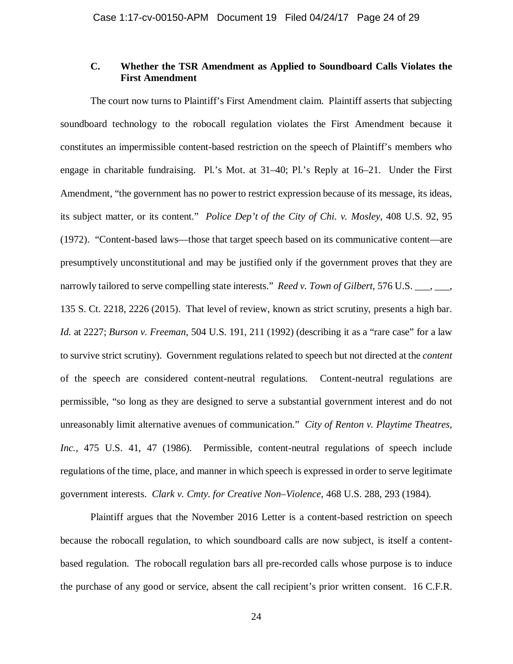# **C. Whether the TSR Amendment as Applied to Soundboard Calls Violates the First Amendment**

The court now turns to Plaintiff's First Amendment claim. Plaintiff asserts that subjecting soundboard technology to the robocall regulation violates the First Amendment because it constitutes an impermissible content-based restriction on the speech of Plaintiff's members who engage in charitable fundraising. Pl.'s Mot. at 31–40; Pl.'s Reply at 16–21. Under the First Amendment, "the government has no power to restrict expression because of its message, its ideas, its subject matter, or its content." *Police Dep't of the City of Chi. v. Mosley*, 408 U.S. 92, 95 (1972). "Content-based laws—those that target speech based on its communicative content—are presumptively unconstitutional and may be justified only if the government proves that they are narrowly tailored to serve compelling state interests." *Reed v. Town of Gilbert*, 576 U.S. \_\_\_, \_\_\_, 135 S. Ct. 2218, 2226 (2015). That level of review, known as strict scrutiny, presents a high bar. *Id.* at 2227; *Burson v. Freeman*, 504 U.S. 191, 211 (1992) (describing it as a "rare case" for a law to survive strict scrutiny). Government regulations related to speech but not directed at the *content*  of the speech are considered content-neutral regulations. Content-neutral regulations are permissible, "so long as they are designed to serve a substantial government interest and do not unreasonably limit alternative avenues of communication." *City of Renton v. Playtime Theatres, Inc.*, 475 U.S. 41, 47 (1986). Permissible, content-neutral regulations of speech include regulations of the time, place, and manner in which speech is expressed in order to serve legitimate government interests. *Clark v. Cmty. for Creative Non–Violence*, 468 U.S. 288, 293 (1984).

Plaintiff argues that the November 2016 Letter is a content-based restriction on speech because the robocall regulation, to which soundboard calls are now subject, is itself a contentbased regulation. The robocall regulation bars all pre-recorded calls whose purpose is to induce the purchase of any good or service, absent the call recipient's prior written consent. 16 C.F.R.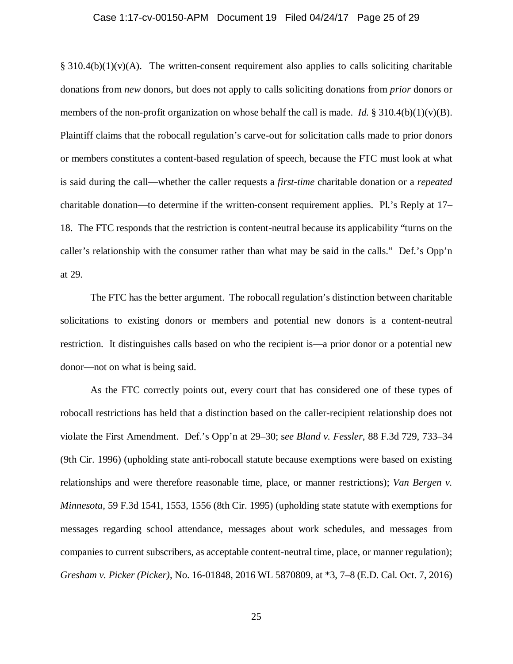#### Case 1:17-cv-00150-APM Document 19 Filed 04/24/17 Page 25 of 29

 $§$  310.4(b)(1)(v)(A). The written-consent requirement also applies to calls soliciting charitable donations from *new* donors, but does not apply to calls soliciting donations from *prior* donors or members of the non-profit organization on whose behalf the call is made. *Id.* § 310.4(b)(1)(v)(B). Plaintiff claims that the robocall regulation's carve-out for solicitation calls made to prior donors or members constitutes a content-based regulation of speech, because the FTC must look at what is said during the call—whether the caller requests a *first-time* charitable donation or a *repeated*  charitable donation—to determine if the written-consent requirement applies. Pl.'s Reply at 17– 18. The FTC responds that the restriction is content-neutral because its applicability "turns on the caller's relationship with the consumer rather than what may be said in the calls." Def.'s Opp'n at 29.

The FTC has the better argument. The robocall regulation's distinction between charitable solicitations to existing donors or members and potential new donors is a content-neutral restriction. It distinguishes calls based on who the recipient is—a prior donor or a potential new donor—not on what is being said.

As the FTC correctly points out, every court that has considered one of these types of robocall restrictions has held that a distinction based on the caller-recipient relationship does not violate the First Amendment. Def.'s Opp'n at 29–30; s*ee Bland v. Fessler*, 88 F.3d 729, 733–34 (9th Cir. 1996) (upholding state anti-robocall statute because exemptions were based on existing relationships and were therefore reasonable time, place, or manner restrictions); *Van Bergen v. Minnesota*, 59 F.3d 1541, 1553, 1556 (8th Cir. 1995) (upholding state statute with exemptions for messages regarding school attendance, messages about work schedules, and messages from companies to current subscribers, as acceptable content-neutral time, place, or manner regulation); *Gresham v. Picker (Picker)*, No. 16-01848, 2016 WL 5870809, at \*3, 7–8 (E.D. Cal. Oct. 7, 2016)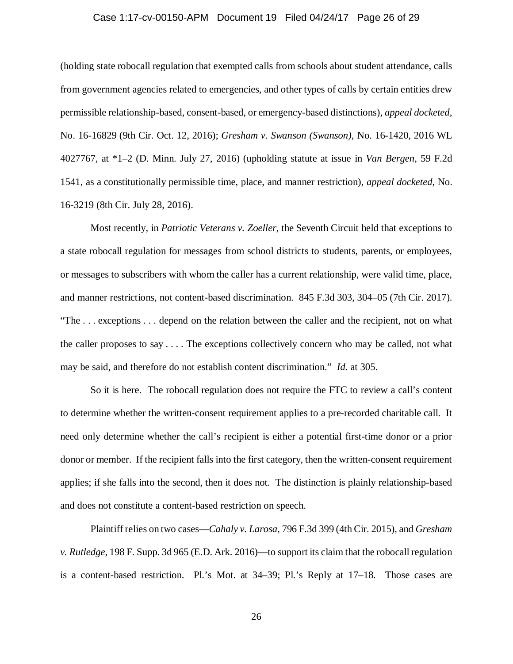#### Case 1:17-cv-00150-APM Document 19 Filed 04/24/17 Page 26 of 29

(holding state robocall regulation that exempted calls from schools about student attendance, calls from government agencies related to emergencies, and other types of calls by certain entities drew permissible relationship-based, consent-based, or emergency-based distinctions), *appeal docketed*, No. 16-16829 (9th Cir. Oct. 12, 2016); *Gresham v. Swanson (Swanson)*, No. 16-1420, 2016 WL 4027767, at \*1–2 (D. Minn. July 27, 2016) (upholding statute at issue in *Van Bergen*, 59 F.2d 1541, as a constitutionally permissible time, place, and manner restriction), *appeal docketed*, No. 16-3219 (8th Cir. July 28, 2016).

Most recently, in *Patriotic Veterans v. Zoeller*, the Seventh Circuit held that exceptions to a state robocall regulation for messages from school districts to students, parents, or employees, or messages to subscribers with whom the caller has a current relationship, were valid time, place, and manner restrictions, not content-based discrimination. 845 F.3d 303, 304–05 (7th Cir. 2017). "The . . . exceptions . . . depend on the relation between the caller and the recipient, not on what the caller proposes to say . . . . The exceptions collectively concern who may be called, not what may be said, and therefore do not establish content discrimination." *Id.* at 305.

So it is here. The robocall regulation does not require the FTC to review a call's content to determine whether the written-consent requirement applies to a pre-recorded charitable call. It need only determine whether the call's recipient is either a potential first-time donor or a prior donor or member. If the recipient falls into the first category, then the written-consent requirement applies; if she falls into the second, then it does not. The distinction is plainly relationship-based and does not constitute a content-based restriction on speech.

Plaintiff relies on two cases—*Cahaly v. Larosa*, 796 F.3d 399 (4th Cir. 2015), and *Gresham v. Rutledge*, 198 F. Supp. 3d 965 (E.D. Ark. 2016)—to support its claim that the robocall regulation is a content-based restriction. Pl.'s Mot. at 34–39; Pl.'s Reply at 17–18. Those cases are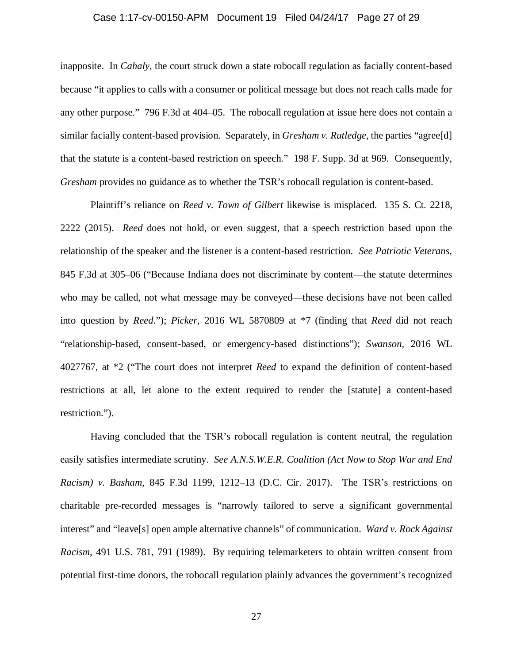#### Case 1:17-cv-00150-APM Document 19 Filed 04/24/17 Page 27 of 29

inapposite. In *Cahaly*, the court struck down a state robocall regulation as facially content-based because "it applies to calls with a consumer or political message but does not reach calls made for any other purpose." 796 F.3d at 404–05. The robocall regulation at issue here does not contain a similar facially content-based provision. Separately, in *Gresham v. Rutledge*, the parties "agree[d] that the statute is a content-based restriction on speech." 198 F. Supp. 3d at 969. Consequently, *Gresham* provides no guidance as to whether the TSR's robocall regulation is content-based.

Plaintiff's reliance on *Reed v. Town of Gilbert* likewise is misplaced. 135 S. Ct. 2218, 2222 (2015). *Reed* does not hold, or even suggest, that a speech restriction based upon the relationship of the speaker and the listener is a content-based restriction. *See Patriotic Veterans*, 845 F.3d at 305–06 ("Because Indiana does not discriminate by content—the statute determines who may be called, not what message may be conveyed—these decisions have not been called into question by *Reed*."); *Picker*, 2016 WL 5870809 at \*7 (finding that *Reed* did not reach "relationship-based, consent-based, or emergency-based distinctions"); *Swanson*, 2016 WL 4027767, at \*2 ("The court does not interpret *Reed* to expand the definition of content-based restrictions at all, let alone to the extent required to render the [statute] a content-based restriction.").

Having concluded that the TSR's robocall regulation is content neutral, the regulation easily satisfies intermediate scrutiny. *See A.N.S.W.E.R. Coalition (Act Now to Stop War and End Racism) v. Basham*, 845 F.3d 1199, 1212–13 (D.C. Cir. 2017). The TSR's restrictions on charitable pre-recorded messages is "narrowly tailored to serve a significant governmental interest" and "leave[s] open ample alternative channels" of communication. *Ward v. Rock Against Racism*, 491 U.S. 781, 791 (1989). By requiring telemarketers to obtain written consent from potential first-time donors, the robocall regulation plainly advances the government's recognized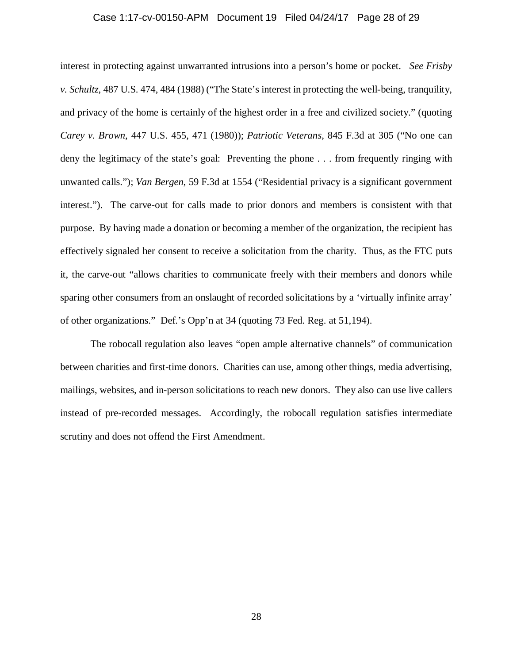#### Case 1:17-cv-00150-APM Document 19 Filed 04/24/17 Page 28 of 29

interest in protecting against unwarranted intrusions into a person's home or pocket. *See Frisby v. Schultz*, 487 U.S. 474, 484 (1988) ("The State's interest in protecting the well-being, tranquility, and privacy of the home is certainly of the highest order in a free and civilized society." (quoting *Carey v. Brown*, 447 U.S. 455, 471 (1980)); *Patriotic Veterans*, 845 F.3d at 305 ("No one can deny the legitimacy of the state's goal: Preventing the phone . . . from frequently ringing with unwanted calls."); *Van Bergen*, 59 F.3d at 1554 ("Residential privacy is a significant government interest."). The carve-out for calls made to prior donors and members is consistent with that purpose. By having made a donation or becoming a member of the organization, the recipient has effectively signaled her consent to receive a solicitation from the charity. Thus, as the FTC puts it, the carve-out "allows charities to communicate freely with their members and donors while sparing other consumers from an onslaught of recorded solicitations by a 'virtually infinite array' of other organizations." Def.'s Opp'n at 34 (quoting 73 Fed. Reg. at 51,194).

The robocall regulation also leaves "open ample alternative channels" of communication between charities and first-time donors. Charities can use, among other things, media advertising, mailings, websites, and in-person solicitations to reach new donors. They also can use live callers instead of pre-recorded messages. Accordingly, the robocall regulation satisfies intermediate scrutiny and does not offend the First Amendment.

28